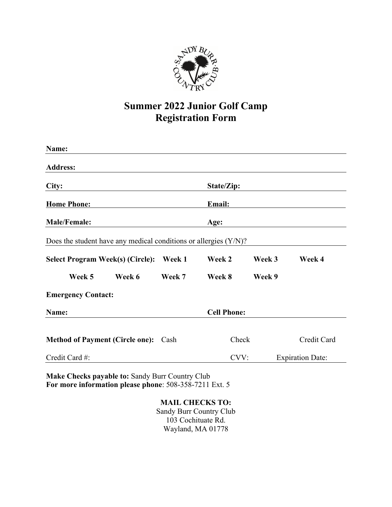

## **Summer 2022 Junior Golf Camp Registration Form**

| Name:                                                               |                    |            |        |                         |
|---------------------------------------------------------------------|--------------------|------------|--------|-------------------------|
| <b>Address:</b>                                                     |                    |            |        |                         |
| City:                                                               |                    | State/Zip: |        |                         |
| <b>Home Phone:</b>                                                  |                    | Email:     |        |                         |
| <b>Male/Female:</b>                                                 |                    | Age:       |        |                         |
| Does the student have any medical conditions or allergies $(Y/N)$ ? |                    |            |        |                         |
| <b>Select Program Week(s) (Circle):</b>                             | Week 1             | Week 2     | Week 3 | Week 4                  |
| Week 5<br>Week 6                                                    | Week 7             | Week 8     | Week 9 |                         |
| <b>Emergency Contact:</b>                                           |                    |            |        |                         |
| Name:                                                               | <b>Cell Phone:</b> |            |        |                         |
| <b>Method of Payment (Circle one):</b>                              | Cash               | Check      |        | Credit Card             |
| Credit Card #:                                                      |                    | CVV:       |        | <b>Expiration Date:</b> |

**Make Checks payable to:** Sandy Burr Country Club **For more information please phone**: 508-358-7211 Ext. 5

> **MAIL CHECKS TO:** Sandy Burr Country Club 103 Cochituate Rd. Wayland, MA 01778